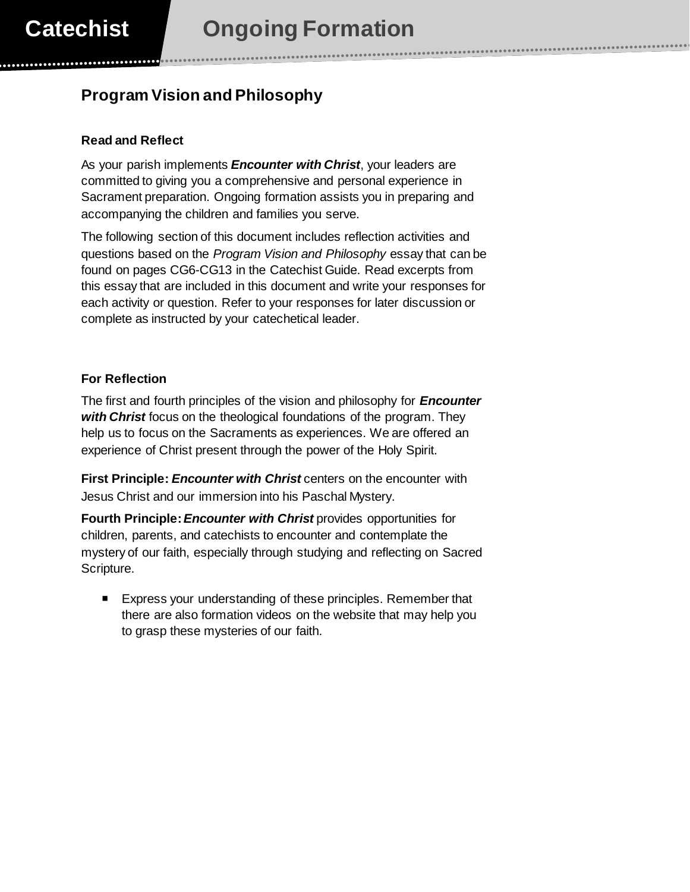## **Program Vision and Philosophy**

## **Read and Reflect**

As your parish implements *Encounter with Christ*, your leaders are committed to giving you a comprehensive and personal experience in Sacrament preparation. Ongoing formation assists you in preparing and accompanying the children and families you serve.

The following section of this document includes reflection activities and questions based on the *Program Vision and Philosophy* essay that can be found on pages CG6-CG13 in the Catechist Guide. Read excerpts from this essay that are included in this document and write your responses for each activity or question. Refer to your responses for later discussion or complete as instructed by your catechetical leader.

## **For Reflection**

The first and fourth principles of the vision and philosophy for *Encounter with Christ* focus on the theological foundations of the program. They help us to focus on the Sacraments as experiences. We are offered an experience of Christ present through the power of the Holy Spirit.

**First Principle:** *Encounter with Christ* centers on the encounter with Jesus Christ and our immersion into his Paschal Mystery.

**Fourth Principle:***Encounter with Christ* provides opportunities for children, parents, and catechists to encounter and contemplate the mystery of our faith, especially through studying and reflecting on Sacred Scripture.

Express your understanding of these principles. Remember that there are also formation videos on the website that may help you to grasp these mysteries of our faith.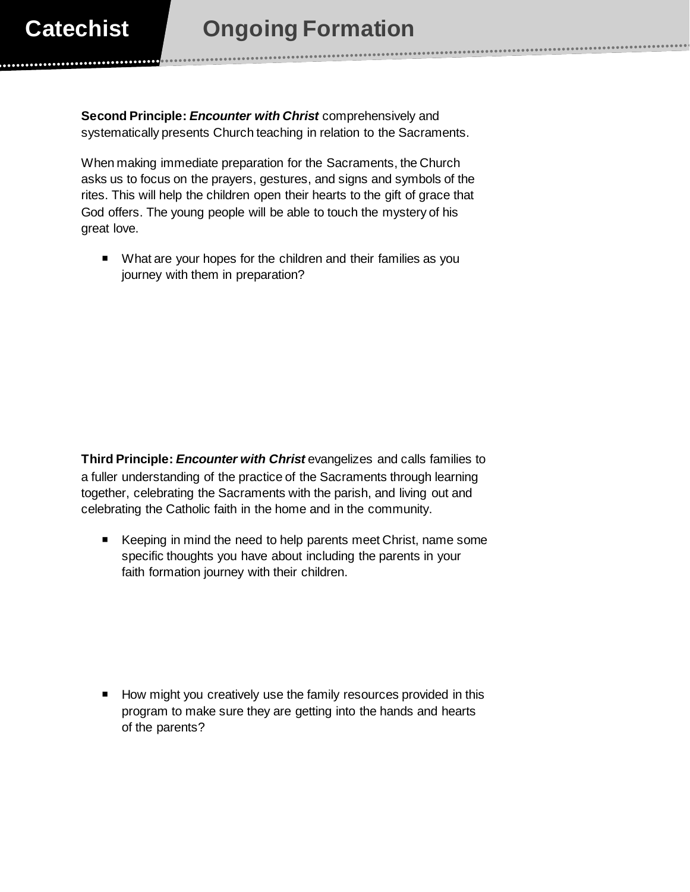**Second Principle:** *Encounter with Christ* comprehensively and systematically presents Church teaching in relation to the Sacraments.

When making immediate preparation for the Sacraments, the Church asks us to focus on the prayers, gestures, and signs and symbols of the rites. This will help the children open their hearts to the gift of grace that God offers. The young people will be able to touch the mystery of his great love.

■ What are your hopes for the children and their families as you journey with them in preparation?

**Third Principle:** *Encounter with Christ* evangelizes and calls families to a fuller understanding of the practice of the Sacraments through learning together, celebrating the Sacraments with the parish, and living out and celebrating the Catholic faith in the home and in the community.

E Keeping in mind the need to help parents meet Christ, name some specific thoughts you have about including the parents in your faith formation journey with their children.

How might you creatively use the family resources provided in this program to make sure they are getting into the hands and hearts of the parents?